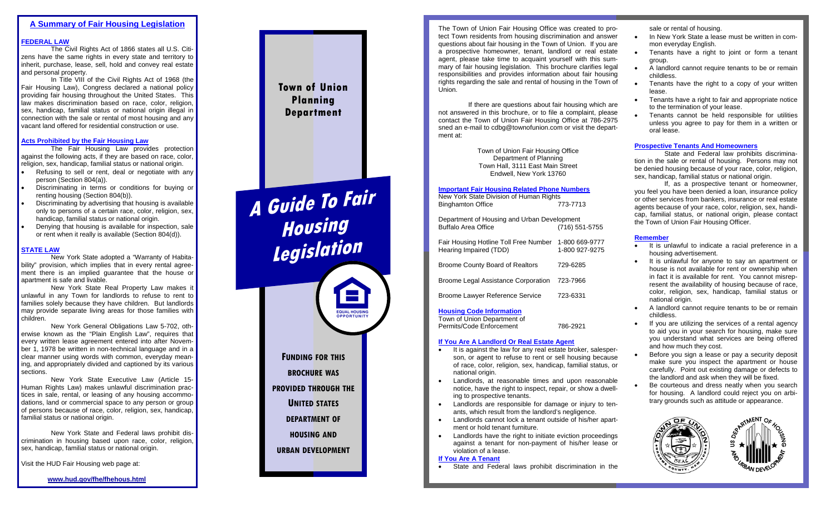# **A Summary of Fair Housing Legislation**

## **FEDERAL LAW**

The Civil Rights Act of 1866 states all U.S. Citizens have the same rights in every state and territory to inherit, purchase, lease, sell, hold and convey real estate and personal property.

In Title VIII of the Civil Rights Act of 1968 (the Fair Housing Law), Congress declared a national policy providing fair housing throughout the United States. This law makes discrimination based on race, color, religion, sex, handicap, familial status or national origin illegal in connection with the sale or rental of most housing and any vacant land offered for residential construction or use.

## **Acts Prohibited by the Fair Housing Law**

 The Fair Housing Law provides protection against the following acts, if they are based on race, color, religion, sex, handicap, familial status or national origin.

- • Refusing to sell or rent, deal or negotiate with any person (Section 804(a)).
- • Discriminating in terms or conditions for buying or renting housing (Section 804(b)).
- • Discriminating by advertising that housing is available only to persons of a certain race, color, religion, sex, handicap, familial status or national origin.
- • Denying that housing is available for inspection, sale or rent when it really is available (Section 804(d)).

## **STATE LAW**

**New York State adopted a "Warranty of Habita**bility" provision, which implies that in every rental agreement there is an implied guarantee that the house or apartment is safe and livable.

 New York State Real Property Law makes it unlawful in any Town for landlords to refuse to rent to families solely because they have children. But landlords may provide separate living areas for those families with children.

ber 1, 1978 be written in non-technical language and in a ing, and appropriately divided and captioned by its various New York General Obligations Law 5-702, otherwise known as the "Plain English Law", requires that every written lease agreement entered into after Novemclear manner using words with common, everyday meansections.

 New York State Executive Law (Article 15- Human Rights Law) makes unlawful discrimination practices in sale, rental, or leasing of any housing accommodations, land or commercial space to any person or group of persons because of race, color, religion, sex, handicap, familial status or national origin.

 New York State and Federal laws prohibit discrimination in housing based upon race, color, religion, sex, handicap, familial status or national origin.

Visit the HUD Fair Housing web page at:

### **www.hud.gov/fhe/fhehous.html**



**A Guide To Fair Housing Legislation** EQUAL HOUSING **FUNDING FOR THIS BROCHURE WAS PROVIDED THROUGH THE UNITED STATES DEPARTMENT OF HOUSING AND URBAN DEVELOPMENT**

The Town of Union Fair Housing Office was created to protect Town residents from housing discrimination and answer questions about fair housing in the Town of Union. If you are a prospective homeowner, tenant, landlord or real estate agent, please take time to acquaint yourself with this summary of fair housing legislation. This brochure clarifies legal responsibilities and provides information about fair housing rights regarding the sale and rental of housing in the Town of Union.

 If there are questions about fair housing which are not answered in this brochure, or to file a complaint, please contact the Town of Union Fair Housing Office at 786-2975 sned an e-mail to cdbg@townofunion.com or visit the department at:

> Town of Union Fair Housing Office Department of Planning Town Hall, 3111 East Main Street Endwell, New York 13760

## **Important Fair Housing Related Phone Numbers**

| New York State Division of Human Rights |          |
|-----------------------------------------|----------|
| <b>Binghamton Office</b>                | 773-7713 |

Department of Housing and Urban Development Buffalo Area Office (716) 551-5755

Fair Housing Hotline Toll Free Number 1-800 669-9777 Hearing Impaired (TDD)

Broome County Board of Realtors 729-6285

Broome Legal Assistance Corporation 723-7966

Broome Lawyer Reference Service 723-6331

## **Housing Code Information**

Town of Union Department of Permits/Code Enforcement 786-2921

## **If You Are A Landlord Or Real Estate Agent**

- • It is against the law for any real estate broker, salesperson, or agent to refuse to rent or sell housing because of race, color, religion, sex, handicap, familial status, or national origin.
- • Landlords, at reasonable times and upon reasonable notice, have the right to inspect, repair, or show a dwelling to prospective tenants.
- • Landlords are responsible for damage or injury to tenants, which result from the landlord's negligence.
- • Landlords cannot lock a tenant outside of his/her apartment or hold tenant furniture.
- •Landlords have the right to initiate eviction proceedings against a tenant for non-payment of his/her lease or violation of a lease.

## **If You Are A Tenant**

•State and Federal laws prohibit discrimination in the sale or rental of housing.

- • In New York State a lease must be written in common everyday English.
- • Tenants have a right to joint or form a tenant group.
- • A landlord cannot require tenants to be or remain childless.
- • Tenants have the right to a copy of your written lease.
- Tenants have a right to fair and appropriate notice to the termination of your lease.
- • Tenants cannot be held responsible for utilities unless you agree to pay for them in a written or oral lease.

# **Prospective Tenants And Homeowners**

 State and Federal law prohibits discrimination in the sale or rental of housing. Persons may not be denied housing because of your race, color, religion, sex, handicap, familial status or national origin.

 If, as a prospective tenant or homeowner, you feel you have been denied a loan, insurance policy or other services from bankers, insurance or real estate agents because of your race, color, religion, sex, handicap, familial status, or national origin, please contact the Town of Union Fair Housing Officer.

#### **Remember**

•

•

•

- It is unlawful to indicate a racial preference in a housing advertisement.
- • It is unlawful for anyone to say an apartment or house is not available for rent or ownership when in fact it is available for rent. You cannot misrepresent the availability of housing because of race, color, religion, sex, handicap, familial status or national origin.
- • A landlord cannot require tenants to be or remain childless.
- If you are utilizing the services of a rental agency to aid you in your search for housing, make sure you understand what services are being offered and how much they cost.
- • Before you sign a lease or pay a security deposit make sure you inspect the apartment or house carefully. Point out existing damage or defects to the landlord and ask when they will be fixed.
- • Be courteous and dress neatly when you search for housing. A landlord could reject you on arbitrary grounds such as attitude or appearance.